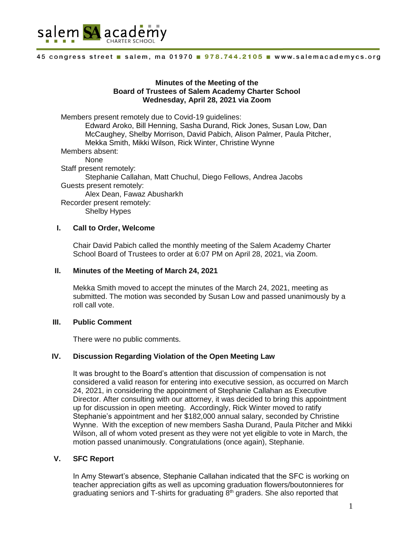

### **Minutes of the Meeting of the Board of Trustees of Salem Academy Charter School Wednesday, April 28, 2021 via Zoom**

Members present remotely due to Covid-19 guidelines: Edward Aroko, Bill Henning, Sasha Durand, Rick Jones, Susan Low, Dan McCaughey, Shelby Morrison, David Pabich, Alison Palmer, Paula Pitcher, Mekka Smith, Mikki Wilson, Rick Winter, Christine Wynne Members absent: None Staff present remotely: Stephanie Callahan, Matt Chuchul, Diego Fellows, Andrea Jacobs Guests present remotely: Alex Dean, Fawaz Abusharkh Recorder present remotely: Shelby Hypes

### **I. Call to Order, Welcome**

Chair David Pabich called the monthly meeting of the Salem Academy Charter School Board of Trustees to order at 6:07 PM on April 28, 2021, via Zoom.

### **II. Minutes of the Meeting of March 24, 2021**

Mekka Smith moved to accept the minutes of the March 24, 2021, meeting as submitted. The motion was seconded by Susan Low and passed unanimously by a roll call vote.

### **III. Public Comment**

There were no public comments.

### **IV. Discussion Regarding Violation of the Open Meeting Law**

It was brought to the Board's attention that discussion of compensation is not considered a valid reason for entering into executive session, as occurred on March 24, 2021, in considering the appointment of Stephanie Callahan as Executive Director. After consulting with our attorney, it was decided to bring this appointment up for discussion in open meeting. Accordingly, Rick Winter moved to ratify Stephanie's appointment and her \$182,000 annual salary, seconded by Christine Wynne. With the exception of new members Sasha Durand, Paula Pitcher and Mikki Wilson, all of whom voted present as they were not yet eligible to vote in March, the motion passed unanimously. Congratulations (once again), Stephanie.

### **V. SFC Report**

In Amy Stewart's absence, Stephanie Callahan indicated that the SFC is working on teacher appreciation gifts as well as upcoming graduation flowers/boutonnieres for graduating seniors and T-shirts for graduating  $8<sup>th</sup>$  graders. She also reported that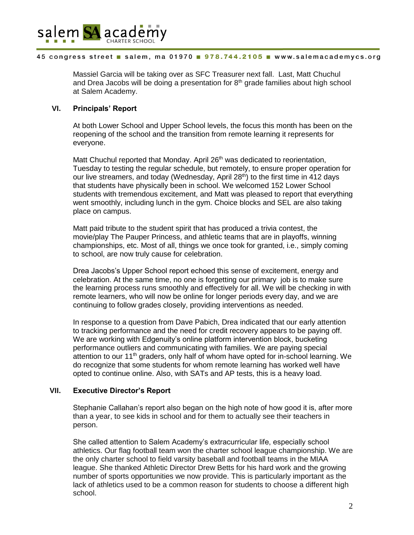

Massiel Garcia will be taking over as SFC Treasurer next fall. Last, Matt Chuchul and Drea Jacobs will be doing a presentation for  $8<sup>th</sup>$  grade families about high school at Salem Academy.

## **VI. Principals' Report**

At both Lower School and Upper School levels, the focus this month has been on the reopening of the school and the transition from remote learning it represents for everyone.

Matt Chuchul reported that Monday. April 26<sup>th</sup> was dedicated to reorientation, Tuesday to testing the regular schedule, but remotely, to ensure proper operation for our live streamers, and today (Wednesday, April 28<sup>th</sup>) to the first time in 412 days that students have physically been in school. We welcomed 152 Lower School students with tremendous excitement, and Matt was pleased to report that everything went smoothly, including lunch in the gym. Choice blocks and SEL are also taking place on campus.

Matt paid tribute to the student spirit that has produced a trivia contest, the movie/play The Pauper Princess, and athletic teams that are in playoffs, winning championships, etc. Most of all, things we once took for granted, i.e., simply coming to school, are now truly cause for celebration.

Drea Jacobs's Upper School report echoed this sense of excitement, energy and celebration. At the same time, no one is forgetting our primary job is to make sure the learning process runs smoothly and effectively for all. We will be checking in with remote learners, who will now be online for longer periods every day, and we are continuing to follow grades closely, providing interventions as needed.

In response to a question from Dave Pabich, Drea indicated that our early attention to tracking performance and the need for credit recovery appears to be paying off. We are working with Edgenuity's online platform intervention block, bucketing performance outliers and communicating with families. We are paying special attention to our 11<sup>th</sup> graders, only half of whom have opted for in-school learning. We do recognize that some students for whom remote learning has worked well have opted to continue online. Also, with SATs and AP tests, this is a heavy load.

## **VII. Executive Director's Report**

Stephanie Callahan's report also began on the high note of how good it is, after more than a year, to see kids in school and for them to actually see their teachers in person.

She called attention to Salem Academy's extracurricular life, especially school athletics. Our flag football team won the charter school league championship. We are the only charter school to field varsity baseball and football teams in the MIAA league. She thanked Athletic Director Drew Betts for his hard work and the growing number of sports opportunities we now provide. This is particularly important as the lack of athletics used to be a common reason for students to choose a different high school.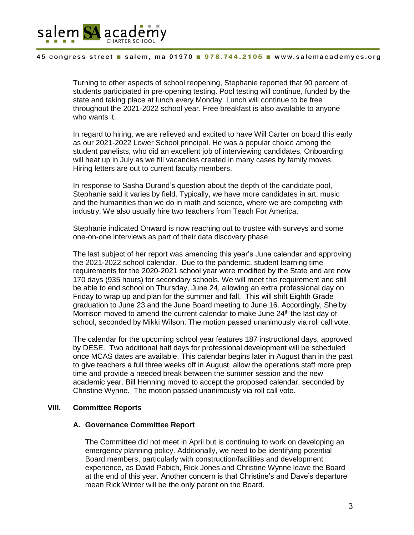

Turning to other aspects of school reopening, Stephanie reported that 90 percent of students participated in pre-opening testing. Pool testing will continue, funded by the state and taking place at lunch every Monday. Lunch will continue to be free throughout the 2021-2022 school year. Free breakfast is also available to anyone who wants it.

In regard to hiring, we are relieved and excited to have Will Carter on board this early as our 2021-2022 Lower School principal. He was a popular choice among the student panelists, who did an excellent job of interviewing candidates. Onboarding will heat up in July as we fill vacancies created in many cases by family moves. Hiring letters are out to current faculty members.

In response to Sasha Durand's question about the depth of the candidate pool, Stephanie said it varies by field. Typically, we have more candidates in art, music and the humanities than we do in math and science, where we are competing with industry. We also usually hire two teachers from Teach For America.

Stephanie indicated Onward is now reaching out to trustee with surveys and some one-on-one interviews as part of their data discovery phase.

The last subject of her report was amending this year's June calendar and approving the 2021-2022 school calendar. Due to the pandemic, student learning time requirements for the 2020-2021 school year were modified by the State and are now 170 days (935 hours) for secondary schools. We will meet this requirement and still be able to end school on Thursday, June 24, allowing an extra professional day on Friday to wrap up and plan for the summer and fall. This will shift Eighth Grade graduation to June 23 and the June Board meeting to June 16. Accordingly, Shelby Morrison moved to amend the current calendar to make June  $24<sup>th</sup>$  the last day of school, seconded by Mikki Wilson. The motion passed unanimously via roll call vote.

The calendar for the upcoming school year features 187 instructional days, approved by DESE. Two additional half days for professional development will be scheduled once MCAS dates are available. This calendar begins later in August than in the past to give teachers a full three weeks off in August, allow the operations staff more prep time and provide a needed break between the summer session and the new academic year. Bill Henning moved to accept the proposed calendar, seconded by Christine Wynne. The motion passed unanimously via roll call vote.

### **VIII. Committee Reports**

### **A. Governance Committee Report**

The Committee did not meet in April but is continuing to work on developing an emergency planning policy. Additionally, we need to be identifying potential Board members, particularly with construction/facilities and development experience, as David Pabich, Rick Jones and Christine Wynne leave the Board at the end of this year. Another concern is that Christine's and Dave's departure mean Rick Winter will be the only parent on the Board.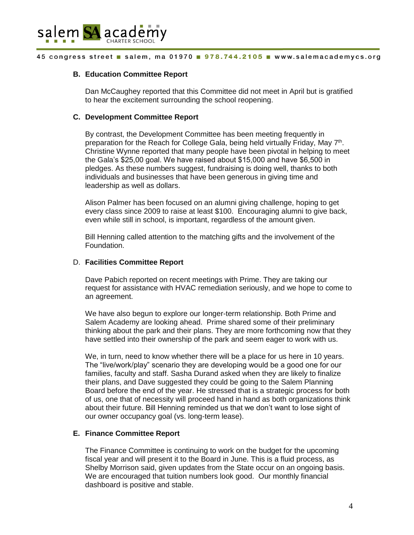

### **B. Education Committee Report**

Dan McCaughey reported that this Committee did not meet in April but is gratified to hear the excitement surrounding the school reopening.

### **C. Development Committee Report**

By contrast, the Development Committee has been meeting frequently in preparation for the Reach for College Gala, being held virtually Friday, May 7<sup>th</sup>. Christine Wynne reported that many people have been pivotal in helping to meet the Gala's \$25,00 goal. We have raised about \$15,000 and have \$6,500 in pledges. As these numbers suggest, fundraising is doing well, thanks to both individuals and businesses that have been generous in giving time and leadership as well as dollars.

Alison Palmer has been focused on an alumni giving challenge, hoping to get every class since 2009 to raise at least \$100. Encouraging alumni to give back, even while still in school, is important, regardless of the amount given.

Bill Henning called attention to the matching gifts and the involvement of the Foundation.

### D. **Facilities Committee Report**

Dave Pabich reported on recent meetings with Prime. They are taking our request for assistance with HVAC remediation seriously, and we hope to come to an agreement.

We have also begun to explore our longer-term relationship. Both Prime and Salem Academy are looking ahead. Prime shared some of their preliminary thinking about the park and their plans. They are more forthcoming now that they have settled into their ownership of the park and seem eager to work with us.

We, in turn, need to know whether there will be a place for us here in 10 years. The "live/work/play" scenario they are developing would be a good one for our families, faculty and staff. Sasha Durand asked when they are likely to finalize their plans, and Dave suggested they could be going to the Salem Planning Board before the end of the year. He stressed that is a strategic process for both of us, one that of necessity will proceed hand in hand as both organizations think about their future. Bill Henning reminded us that we don't want to lose sight of our owner occupancy goal (vs. long-term lease).

### **E. Finance Committee Report**

The Finance Committee is continuing to work on the budget for the upcoming fiscal year and will present it to the Board in June. This is a fluid process, as Shelby Morrison said, given updates from the State occur on an ongoing basis. We are encouraged that tuition numbers look good. Our monthly financial dashboard is positive and stable.